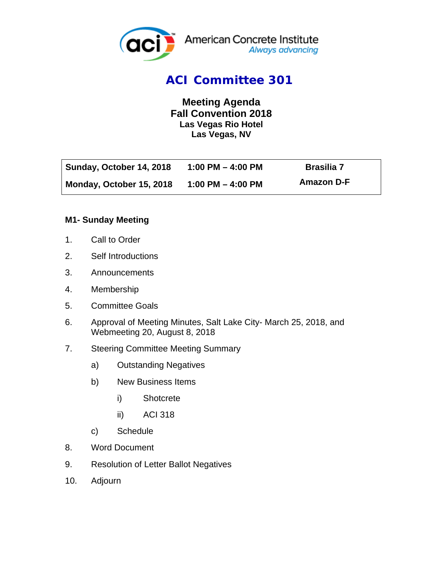

## *ACI Committee 301*

**Meeting Agenda Fall Convention 2018 Las Vegas Rio Hotel Las Vegas, NV** 

| Sunday, October 14, 2018 | 1:00 PM $-$ 4:00 PM | <b>Brasilia 7</b> |
|--------------------------|---------------------|-------------------|
| Monday, October 15, 2018 | 1:00 PM $-$ 4:00 PM | Amazon D-F        |

#### **M1- Sunday Meeting**

- 1. Call to Order
- 2. Self Introductions
- 3. Announcements
- 4. Membership
- 5. Committee Goals
- 6. Approval of Meeting Minutes, Salt Lake City- March 25, 2018, and Webmeeting 20, August 8, 2018
- 7. Steering Committee Meeting Summary
	- a) Outstanding Negatives
	- b) New Business Items
		- i) Shotcrete
		- ii) ACI 318
	- c) Schedule
- 8. Word Document
- 9. Resolution of Letter Ballot Negatives
- 10. Adjourn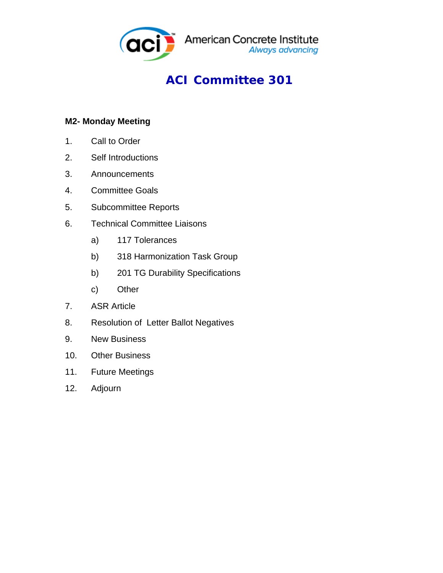

# *ACI Committee 301*

### **M2- Monday Meeting**

- 1. Call to Order
- 2. Self Introductions
- 3. Announcements
- 4. Committee Goals
- 5. Subcommittee Reports
- 6. Technical Committee Liaisons
	- a) 117 Tolerances
	- b) 318 Harmonization Task Group
	- b) 201 TG Durability Specifications
	- c) Other
- 7. ASR Article
- 8. Resolution of Letter Ballot Negatives
- 9. New Business
- 10. Other Business
- 11. Future Meetings
- 12. Adjourn